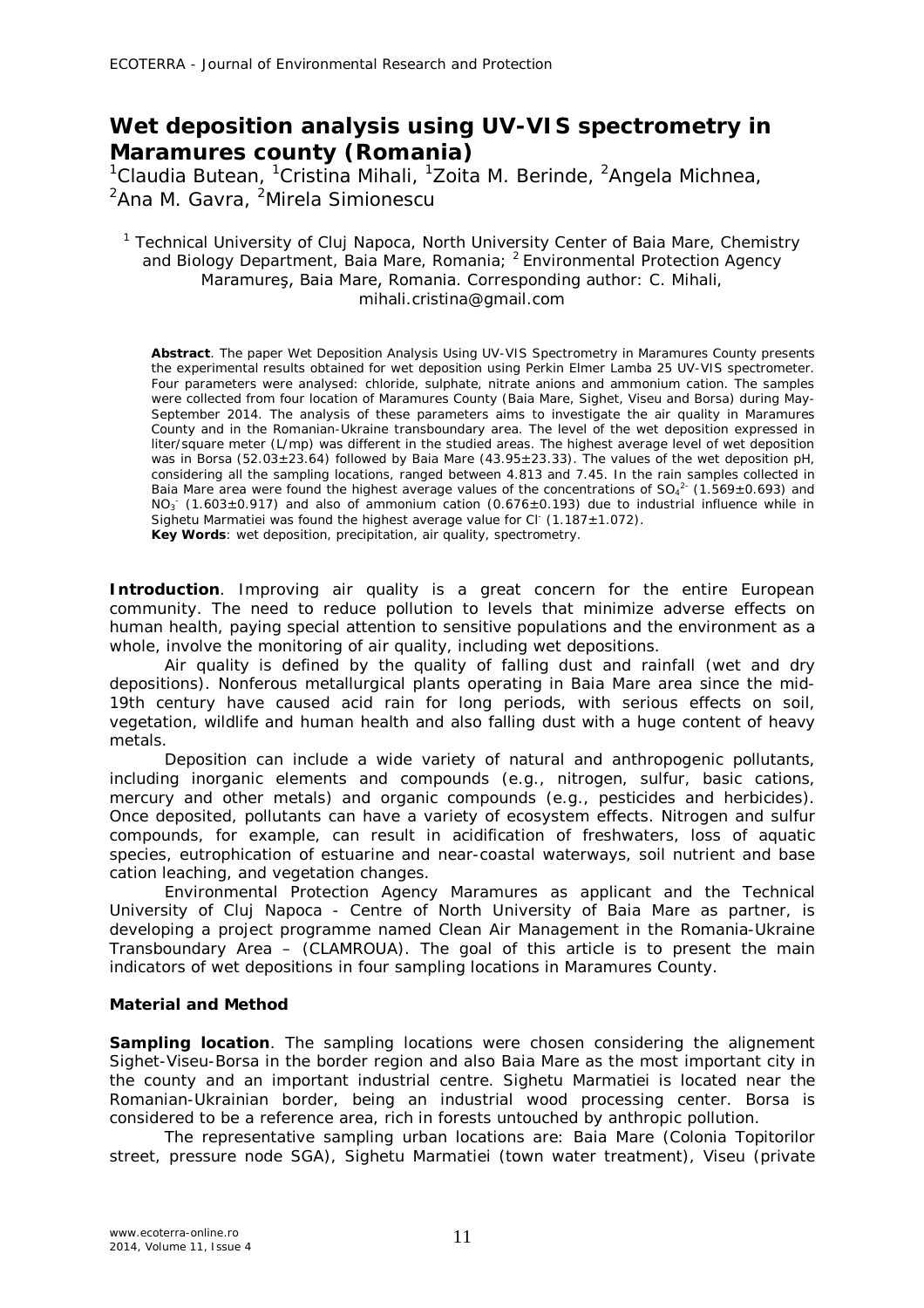# **Wet deposition analysis using UV-VIS spectrometry in Maramures county (Romania)**

<sup>1</sup>Claudia Butean, <sup>1</sup>Cristina Mihali, <sup>1</sup>Zoita M. Berinde, <sup>2</sup>Angela Michnea, <sup>2</sup>Ana M. Gavra, <sup>2</sup>Mirela Simionescu

### <sup>1</sup> Technical University of Cluj Napoca, North University Center of Baia Mare, Chemistry and Biology Department, Baia Mare, Romania; <sup>2</sup> Environmental Protection Agency Maramureş, Baia Mare, Romania. Corresponding author: C. Mihali, mihali.cristina@gmail.com

**Abstract**. The paper Wet Deposition Analysis Using UV-VIS Spectrometry in Maramures County presents the experimental results obtained for wet deposition using Perkin Elmer Lamba 25 UV-VIS spectrometer. Four parameters were analysed: chloride, sulphate, nitrate anions and ammonium cation. The samples were collected from four location of Maramures County (Baia Mare, Sighet, Viseu and Borsa) during May-September 2014. The analysis of these parameters aims to investigate the air quality in Maramures County and in the Romanian-Ukraine transboundary area. The level of the wet deposition expressed in liter/square meter (L/mp) was different in the studied areas. The highest average level of wet deposition was in Borsa (52.03 $\pm$ 23.64) followed by Baia Mare (43.95 $\pm$ 23.33). The values of the wet deposition pH, considering all the sampling locations, ranged between 4.813 and 7.45. In the rain samples collected in Baia Mare area were found the highest average values of the concentrations of  $SO_4^2$  (1.569±0.693) and  $NO<sub>3</sub>$  (1.603±0.917) and also of ammonium cation (0.676±0.193) due to industrial influence while in Sighetu Marmatiei was found the highest average value for  $Cl^{-}(1.187 \pm 1.072)$ . **Key Words**: wet deposition, precipitation, air quality, spectrometry.

**Introduction**. Improving air quality is a great concern for the entire European community. The need to reduce pollution to levels that minimize adverse effects on human health, paying special attention to sensitive populations and the environment as a whole, involve the monitoring of air quality, including wet depositions.

Air quality is defined by the quality of falling dust and rainfall (wet and dry depositions). Nonferous metallurgical plants operating in Baia Mare area since the mid-19th century have caused acid rain for long periods, with serious effects on soil, vegetation, wildlife and human health and also falling dust with a huge content of heavy metals.

Deposition can include a wide variety of natural and anthropogenic pollutants, including inorganic elements and compounds (e.g., nitrogen, sulfur, basic cations, mercury and other metals) and organic compounds (e.g., pesticides and herbicides). Once deposited, pollutants can have a variety of ecosystem effects. Nitrogen and sulfur compounds, for example, can result in acidification of freshwaters, loss of aquatic species, eutrophication of estuarine and near-coastal waterways, soil nutrient and base cation leaching, and vegetation changes.

Environmental Protection Agency Maramures as applicant and the Technical University of Cluj Napoca - Centre of North University of Baia Mare as partner, is developing a project programme named Clean Air Management in the Romania-Ukraine Transboundary Area – (CLAMROUA). The goal of this article is to present the main indicators of wet depositions in four sampling locations in Maramures County.

## **Material and Method**

**Sampling location**. The sampling locations were chosen considering the alignement Sighet-Viseu-Borsa in the border region and also Baia Mare as the most important city in the county and an important industrial centre. Sighetu Marmatiei is located near the Romanian-Ukrainian border, being an industrial wood processing center. Borsa is considered to be a reference area, rich in forests untouched by anthropic pollution.

The representative sampling urban locations are: Baia Mare (Colonia Topitorilor street, pressure node SGA), Sighetu Marmatiei (town water treatment), Viseu (private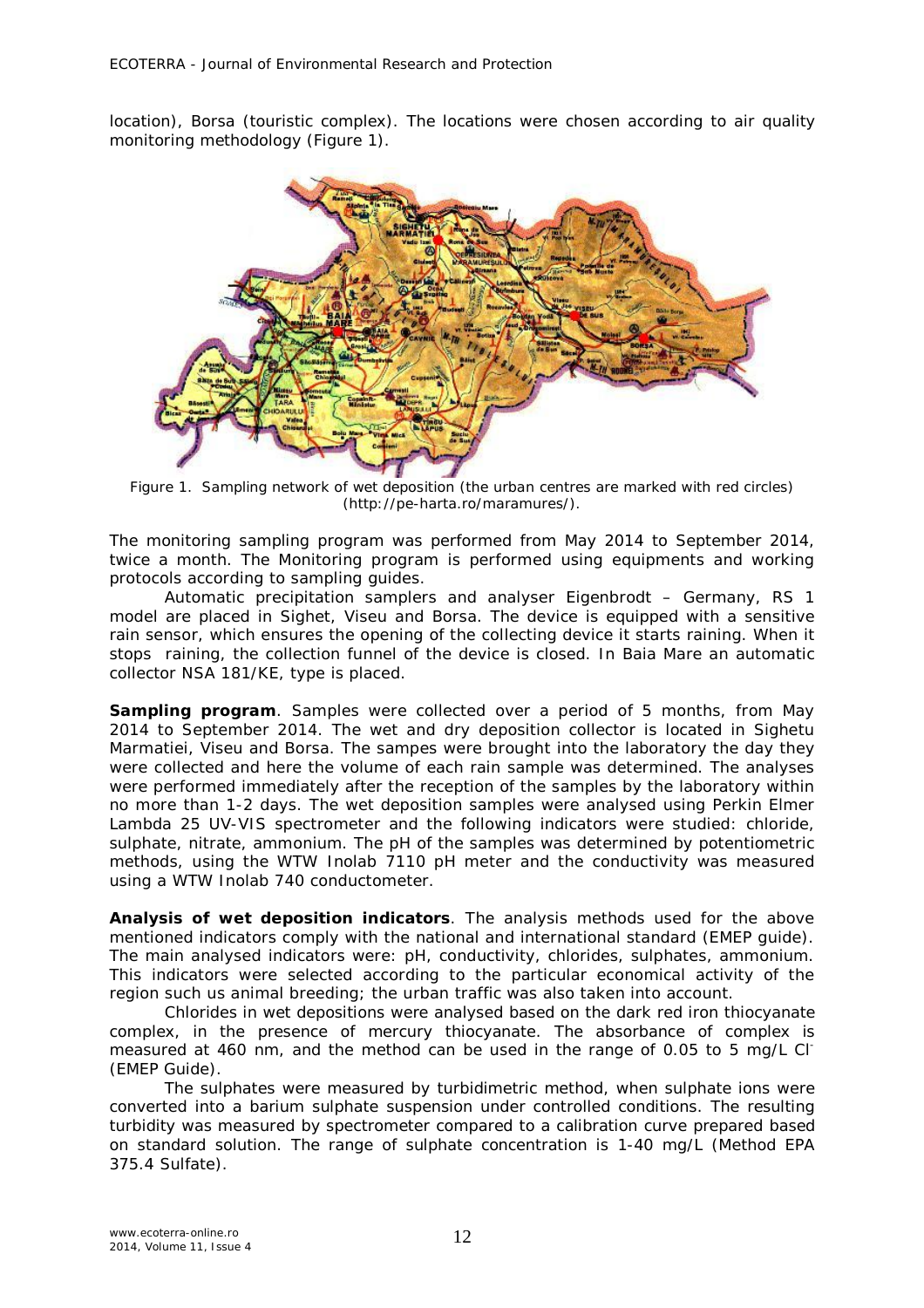location), Borsa (touristic complex). The locations were chosen according to air quality monitoring methodology (Figure 1).



Figure 1.Sampling network of wet deposition (the urban centres are marked with red circles) (http://pe-harta.ro/maramures/).

The monitoring sampling program was performed from May 2014 to September 2014, twice a month. The Monitoring program is performed using equipments and working protocols according to sampling guides.

Automatic precipitation samplers and analyser Eigenbrodt – Germany, RS 1 model are placed in Sighet, Viseu and Borsa. The device is equipped with a sensitive rain sensor, which ensures the opening of the collecting device it starts raining. When it stops raining, the collection funnel of the device is closed. In Baia Mare an automatic collector NSA 181/KE, type is placed.

*Sampling program.* Samples were collected over a period of 5 months, from May 2014 to September 2014. The wet and dry deposition collector is located in Sighetu Marmatiei, Viseu and Borsa. The sampes were brought into the laboratory the day they were collected and here the volume of each rain sample was determined. The analyses were performed immediately after the reception of the samples by the laboratory within no more than 1-2 days. The wet deposition samples were analysed using Perkin Elmer Lambda 25 UV-VIS spectrometer and the following indicators were studied: chloride, sulphate, nitrate, ammonium. The pH of the samples was determined by potentiometric methods, using the WTW Inolab 7110 pH meter and the conductivity was measured using a WTW Inolab 740 conductometer.

*Analysis of wet deposition indicators.* The analysis methods used for the above mentioned indicators comply with the national and international standard (EMEP guide). The main analysed indicators were: pH, conductivity, chlorides, sulphates, ammonium. This indicators were selected according to the particular economical activity of the region such us animal breeding; the urban traffic was also taken into account.

Chlorides in wet depositions were analysed based on the dark red iron thiocyanate complex, in the presence of mercury thiocyanate. The absorbance of complex is measured at 460 nm, and the method can be used in the range of 0.05 to 5 mg/L Cl- (EMEP Guide).

The sulphates were measured by turbidimetric method, when sulphate ions were converted into a barium sulphate suspension under controlled conditions. The resulting turbidity was measured by spectrometer compared to a calibration curve prepared based on standard solution. The range of sulphate concentration is 1-40 mg/L (Method EPA 375.4 Sulfate).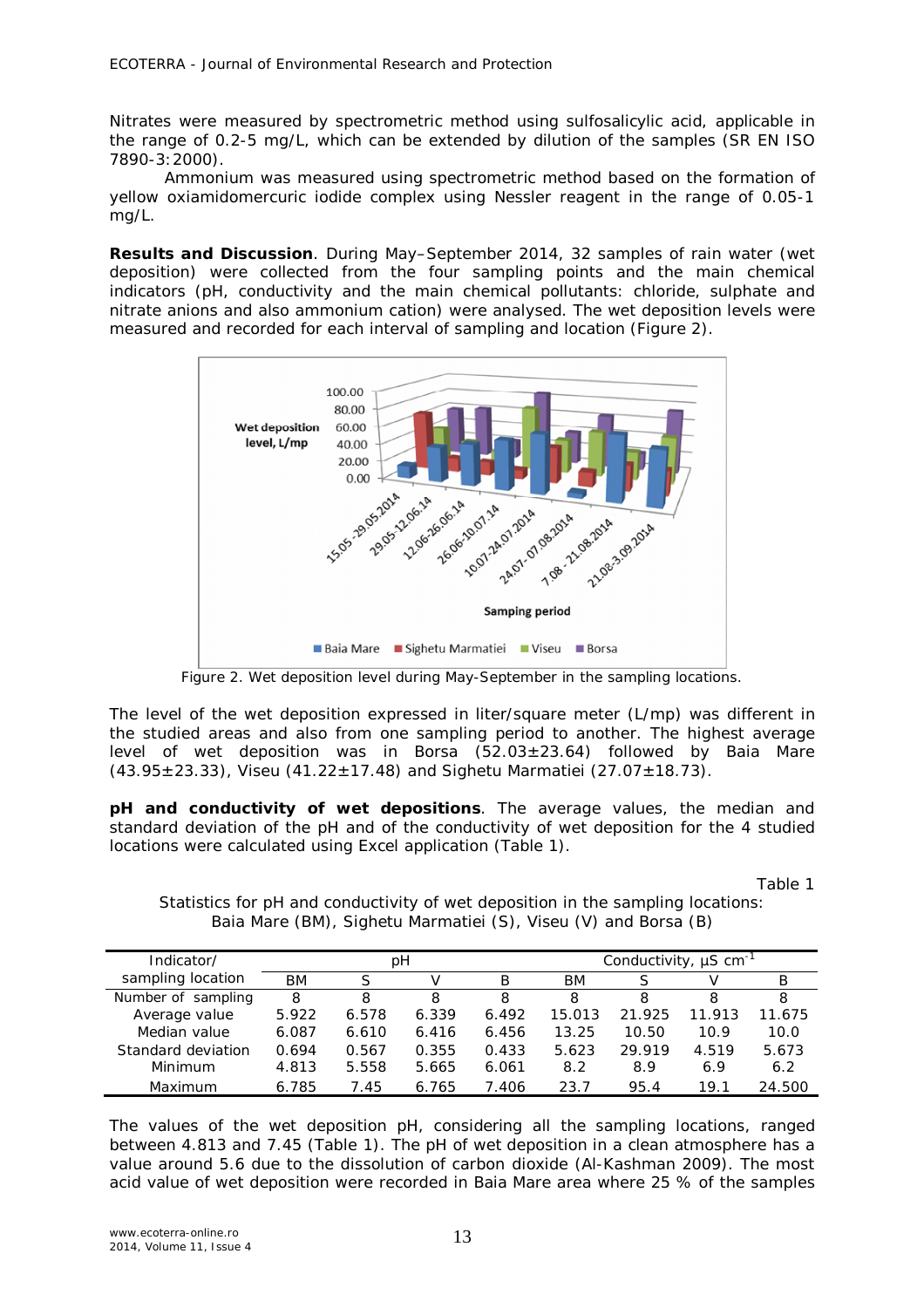Nitrates were measured by spectrometric method using sulfosalicylic acid, applicable in the range of 0.2-5 mg/L, which can be extended by dilution of the samples (SR EN ISO 7890-3:2000).

Ammonium was measured using spectrometric method based on the formation of yellow oxiamidomercuric iodide complex using Nessler reagent in the range of 0.05-1 mg/L.

**Results and Discussion**. During May–September 2014, 32 samples of rain water (wet deposition) were collected from the four sampling points and the main chemical indicators (pH, conductivity and the main chemical pollutants: chloride, sulphate and nitrate anions and also ammonium cation) were analysed. The wet deposition levels were measured and recorded for each interval of sampling and location (Figure 2).



Figure 2. Wet deposition level during May-September in the sampling locations.

The level of the wet deposition expressed in liter/square meter (L/mp) was different in the studied areas and also from one sampling period to another. The highest average level of wet deposition was in Borsa  $(52.03 \pm 23.64)$  followed by Baia Mare  $(43.95 \pm 23.33)$ , Viseu  $(41.22 \pm 17.48)$  and Sighetu Marmatiei  $(27.07 \pm 18.73)$ .

*pH and conductivity of wet depositions.* The average values, the median and standard deviation of the pH and of the conductivity of wet deposition for the 4 studied locations were calculated using Excel application (Table 1).

Table 1

Statistics for pH and conductivity of wet deposition in the sampling locations: Baia Mare (BM), Sighetu Marmatiei (S), Viseu (V) and Borsa (B)

| Indicator/         | pН    |       |       |       | Conductivity, $\mu$ S cm <sup>-1</sup> |        |        |        |  |
|--------------------|-------|-------|-------|-------|----------------------------------------|--------|--------|--------|--|
| sampling location  | BМ    |       |       | В     | BМ                                     |        |        | В      |  |
| Number of sampling | 8     | 8     | 8     | 8     | 8                                      | 8      | 8      | 8      |  |
| Average value      | 5.922 | 6.578 | 6.339 | 6.492 | 15.013                                 | 21.925 | 11.913 | 11.675 |  |
| Median value       | 6.087 | 6.610 | 6.416 | 6.456 | 13.25                                  | 10.50  | 10.9   | 10.0   |  |
| Standard deviation | 0.694 | 0.567 | 0.355 | 0.433 | 5.623                                  | 29.919 | 4.519  | 5.673  |  |
| Minimum            | 4.813 | 5.558 | 5.665 | 6.061 | 8.2                                    | 8.9    | 6.9    | 6.2    |  |
| Maximum            | 6.785 | 7.45  | 6.765 | 7.406 | 23.7                                   | 95.4   | 19.1   | 24.500 |  |

The values of the wet deposition pH, considering all the sampling locations, ranged between 4.813 and 7.45 (Table 1). The pH of wet deposition in a clean atmosphere has a value around 5.6 due to the dissolution of carbon dioxide (Al-Kashman 2009). The most acid value of wet deposition were recorded in Baia Mare area where 25 % of the samples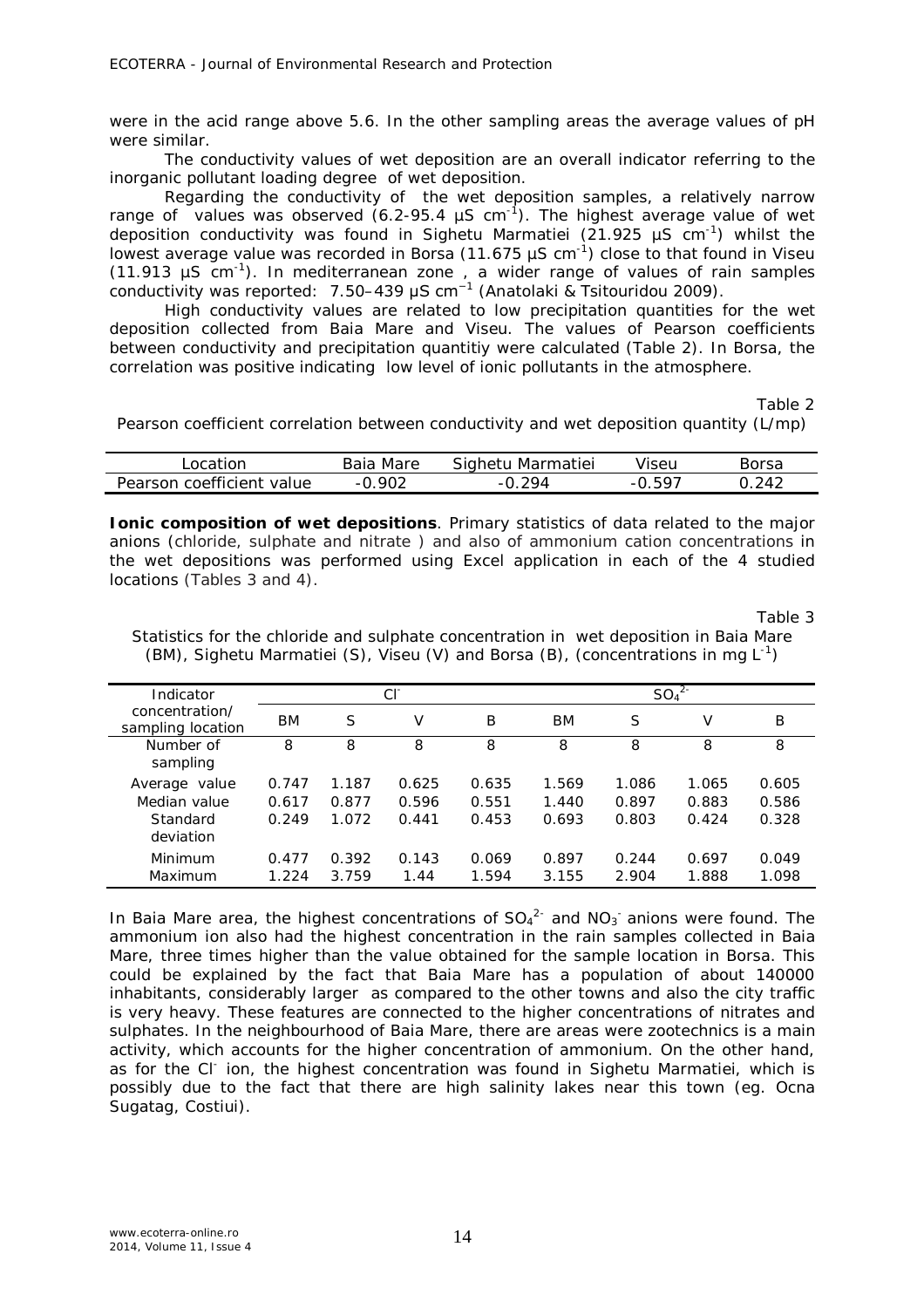were in the acid range above 5.6. In the other sampling areas the average values of pH were similar.

The conductivity values of wet deposition are an overall indicator referring to the inorganic pollutant loading degree of wet deposition.

Regarding the conductivity of the wet deposition samples, a relatively narrow range of values was observed (6.2-95.4  $\mu$ S cm<sup>-1</sup>). The highest average value of wet deposition conductivity was found in Sighetu Marmatiei (21.925  $\mu$ S cm<sup>-1</sup>) whilst the lowest average value was recorded in Borsa (11.675  $\mu$ S cm<sup>-1</sup>) close to that found in Viseu (11.913  $\mu$ S cm<sup>-1</sup>). In mediterranean zone, a wider range of values of rain samples conductivity was reported: 7.50–439 μS cm<sup>−</sup><sup>1</sup> (Anatolaki & Tsitouridou 2009).

High conductivity values are related to low precipitation quantities for the wet deposition collected from Baia Mare and Viseu. The values of Pearson coefficients between conductivity and precipitation quantitiy were calculated (Table 2). In Borsa, the correlation was positive indicating low level of ionic pollutants in the atmosphere.

Table 2

Pearson coefficient correlation between conductivity and wet deposition quantity (L/mp)

| l ocation                 | Baia Mare | Sighetu Marmatiei | Viseu | Borsa |
|---------------------------|-----------|-------------------|-------|-------|
| Pearson coefficient value | ຼ⊔ນ ດ∩າ   | 294               | . 507 | 242   |

**Ionic composition of wet depositions**. Primary statistics of data related to the major anions (chloride, sulphate and nitrate ) and also of ammonium cation concentrations in the wet depositions was performed using Excel application in each of the 4 studied locations (Tables 3 and 4).

Table 3

Statistics for the chloride and sulphate concentration in wet deposition in Baia Mare (BM), Sighetu Marmatiei (S), Viseu (V) and Borsa (B), (concentrations in mg  $L^{-1}$ )

| Indicator                           |       |       | СF    |       |           | $SO_4^2$<br>S<br>V<br>B<br>8<br>8<br>8<br>1.086<br>1.065<br>0.605<br>0.897<br>0.883<br>0.586<br>0.803<br>0.328<br>0.424<br>0.697<br>0.244<br>0.049 |       |       |
|-------------------------------------|-------|-------|-------|-------|-----------|----------------------------------------------------------------------------------------------------------------------------------------------------|-------|-------|
| concentration/<br>sampling location | BM    | S     | V     | Β     | <b>BM</b> |                                                                                                                                                    |       |       |
| Number of<br>sampling               | 8     | 8     | 8     | 8     | 8         |                                                                                                                                                    |       |       |
| Average value                       | 0.747 | 1.187 | 0.625 | 0.635 | 1.569     |                                                                                                                                                    |       |       |
| Median value                        | 0.617 | 0.877 | 0.596 | 0.551 | 1.440     |                                                                                                                                                    |       |       |
| Standard<br>deviation               | 0.249 | 1.072 | 0.441 | 0.453 | 0.693     |                                                                                                                                                    |       |       |
| Minimum                             | 0.477 | 0.392 | 0.143 | 0.069 | 0.897     |                                                                                                                                                    |       |       |
| Maximum                             | 1.224 | 3.759 | 1.44  | 1.594 | 3.155     | 2.904                                                                                                                                              | 1.888 | 1.098 |

In Baia Mare area, the highest concentrations of  $SO_4^2$  and  $NO_3$  anions were found. The ammonium ion also had the highest concentration in the rain samples collected in Baia Mare, three times higher than the value obtained for the sample location in Borsa. This could be explained by the fact that Baia Mare has a population of about 140000 inhabitants, considerably larger as compared to the other towns and also the city traffic is very heavy. These features are connected to the higher concentrations of nitrates and sulphates. In the neighbourhood of Baia Mare, there are areas were zootechnics is a main activity, which accounts for the higher concentration of ammonium. On the other hand, as for the CI<sup>-</sup> ion, the highest concentration was found in Sighetu Marmatiei, which is possibly due to the fact that there are high salinity lakes near this town (eg. Ocna Sugatag, Costiui).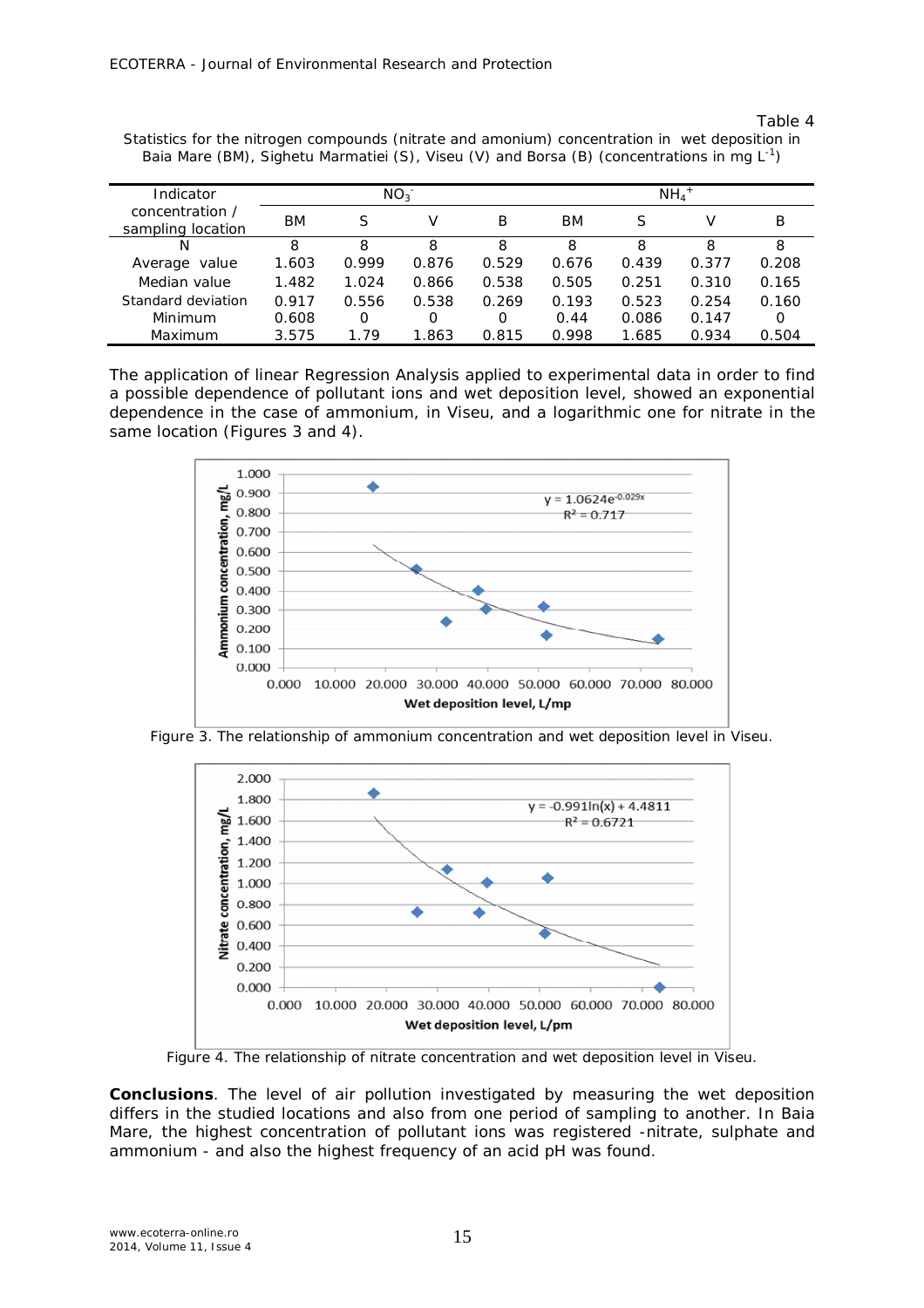### Table 4

| Indicator                            |       |       | $NO_{3}^-$ |       | $NH_4$ <sup>+</sup> |       |       |          |
|--------------------------------------|-------|-------|------------|-------|---------------------|-------|-------|----------|
| concentration /<br>sampling location | BМ    | S     | V          | B     | BМ                  | S     | V     | В        |
| N                                    | 8     | 8     | 8          | 8     | 8                   | 8     | 8     | 8        |
| value<br>Average                     | 1.603 | 0.999 | 0.876      | 0.529 | 0.676               | 0.439 | 0.377 | 0.208    |
| Median value                         | 1.482 | 1.024 | 0.866      | 0.538 | 0.505               | 0.251 | 0.310 | 0.165    |
| Standard deviation                   | 0.917 | 0.556 | 0.538      | 0.269 | 0.193               | 0.523 | 0.254 | 0.160    |
| Minimum                              | 0.608 | Ο     | Ο          | 0     | 0.44                | 0.086 | 0.147 | $\Omega$ |
| Maximum                              | 3.575 | 1.79  | 1.863      | 0.815 | 0.998               | 1.685 | 0.934 | 0.504    |

Statistics for the nitrogen compounds (nitrate and amonium) concentration in wet deposition in Baia Mare (BM), Sighetu Marmatiei (S), Viseu (V) and Borsa (B) (concentrations in mg L<sup>-1</sup>)

The application of linear Regression Analysis applied to experimental data in order to find a possible dependence of pollutant ions and wet deposition level, showed an exponential dependence in the case of ammonium, in Viseu, and a logarithmic one for nitrate in the same location (Figures 3 and 4).



Figure 3. The relationship of ammonium concentration and wet deposition level in Viseu.



Figure 4. The relationship of nitrate concentration and wet deposition level in Viseu.

**Conclusions**. The level of air pollution investigated by measuring the wet deposition differs in the studied locations and also from one period of sampling to another. In Baia Mare, the highest concentration of pollutant ions was registered -nitrate, sulphate and ammonium - and also the highest frequency of an acid pH was found.